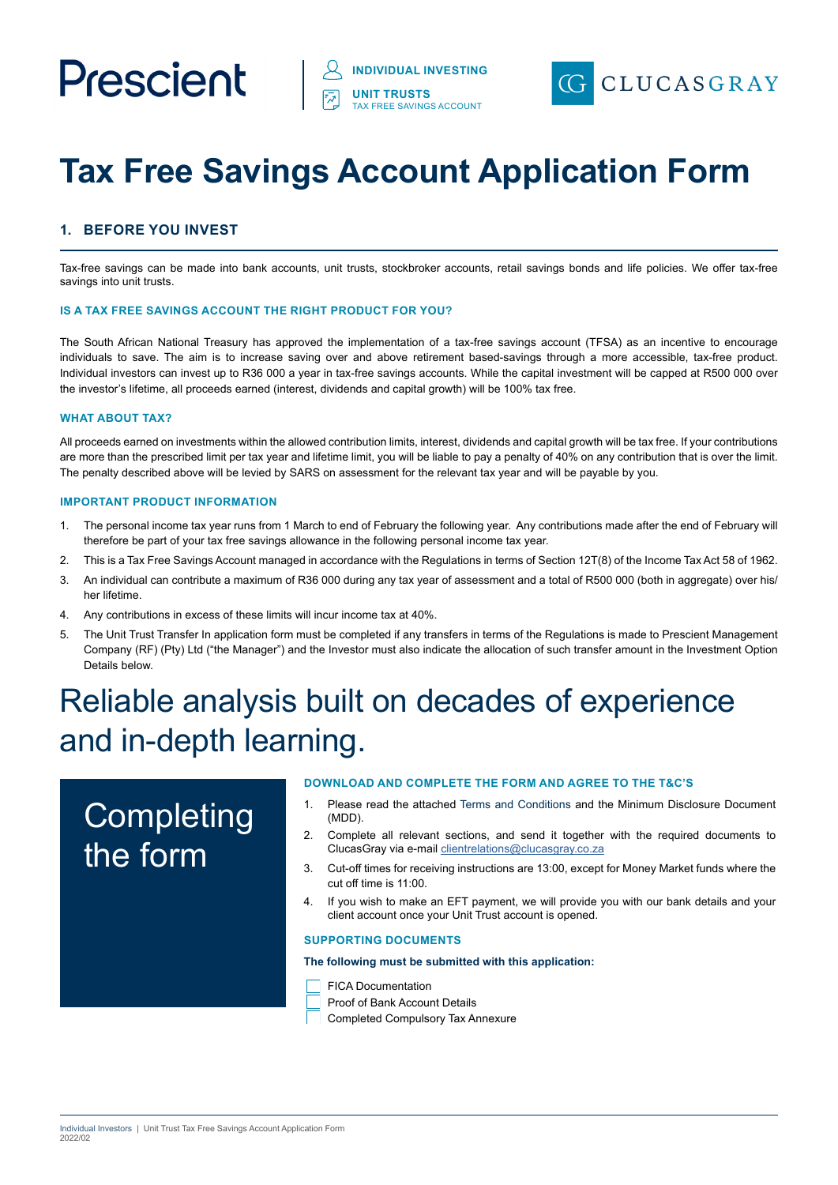# Prescient



# **Tax Free Savings Account Application Form**

# **1. BEFORE YOU INVEST**

Tax-free savings can be made into bank accounts, unit trusts, stockbroker accounts, retail savings bonds and life policies. We offer tax-free savings into unit trusts.

#### **IS A TAX FREE SAVINGS ACCOUNT THE RIGHT PRODUCT FOR YOU?**

The South African National Treasury has approved the implementation of a tax-free savings account (TFSA) as an incentive to encourage individuals to save. The aim is to increase saving over and above retirement based-savings through a more accessible, tax-free product. Individual investors can invest up to R36 000 a year in tax-free savings accounts. While the capital investment will be capped at R500 000 over the investor's lifetime, all proceeds earned (interest, dividends and capital growth) will be 100% tax free.

#### **WHAT ABOUT TAX?**

All proceeds earned on investments within the allowed contribution limits, interest, dividends and capital growth will be tax free. If your contributions are more than the prescribed limit per tax year and lifetime limit, you will be liable to pay a penalty of 40% on any contribution that is over the limit. The penalty described above will be levied by SARS on assessment for the relevant tax year and will be payable by you.

#### **IMPORTANT PRODUCT INFORMATION**

- 1. The personal income tax year runs from 1 March to end of February the following year. Any contributions made after the end of February will therefore be part of your tax free savings allowance in the following personal income tax year.
- 2. This is a Tax Free Savings Account managed in accordance with the Regulations in terms of Section 12T(8) of the Income Tax Act 58 of 1962.
- 3. An individual can contribute a maximum of R36 000 during any tax year of assessment and a total of R500 000 (both in aggregate) over his/ her lifetime.
- 4. Any contributions in excess of these limits will incur income tax at 40%.
- 5. The Unit Trust Transfer In application form must be completed if any transfers in terms of the Regulations is made to Prescient Management Company (RF) (Pty) Ltd ("the Manager") and the Investor must also indicate the allocation of such transfer amount in the Investment Option Details below.

# Reliable analysis built on decades of experience and in-depth learning.

# **Completing** the form

#### **DOWNLOAD AND COMPLETE THE FORM AND AGREE TO THE T&C'S**

- 1. Please read the attached Terms and Conditions and the Minimum Disclosure Document (MDD).
- 2. Complete all relevant sections, and send it together with the required documents to ClucasGray via e-mail [clientrelations@clucasgray.co.za](mailto:clientrelations%40clucasgray.co.za?subject=ClucasGray%20TFSA%20Application%20Form)
- 3. Cut-off times for receiving instructions are 13:00, except for Money Market funds where the cut off time is 11:00.
- 4. If you wish to make an EFT payment, we will provide you with our bank details and your client account once your Unit Trust account is opened.

#### **SUPPORTING DOCUMENTS**

### **The following must be submitted with this application:**

- FICA Documentation
- Proof of Bank Account Details
- Completed Compulsory Tax Annexure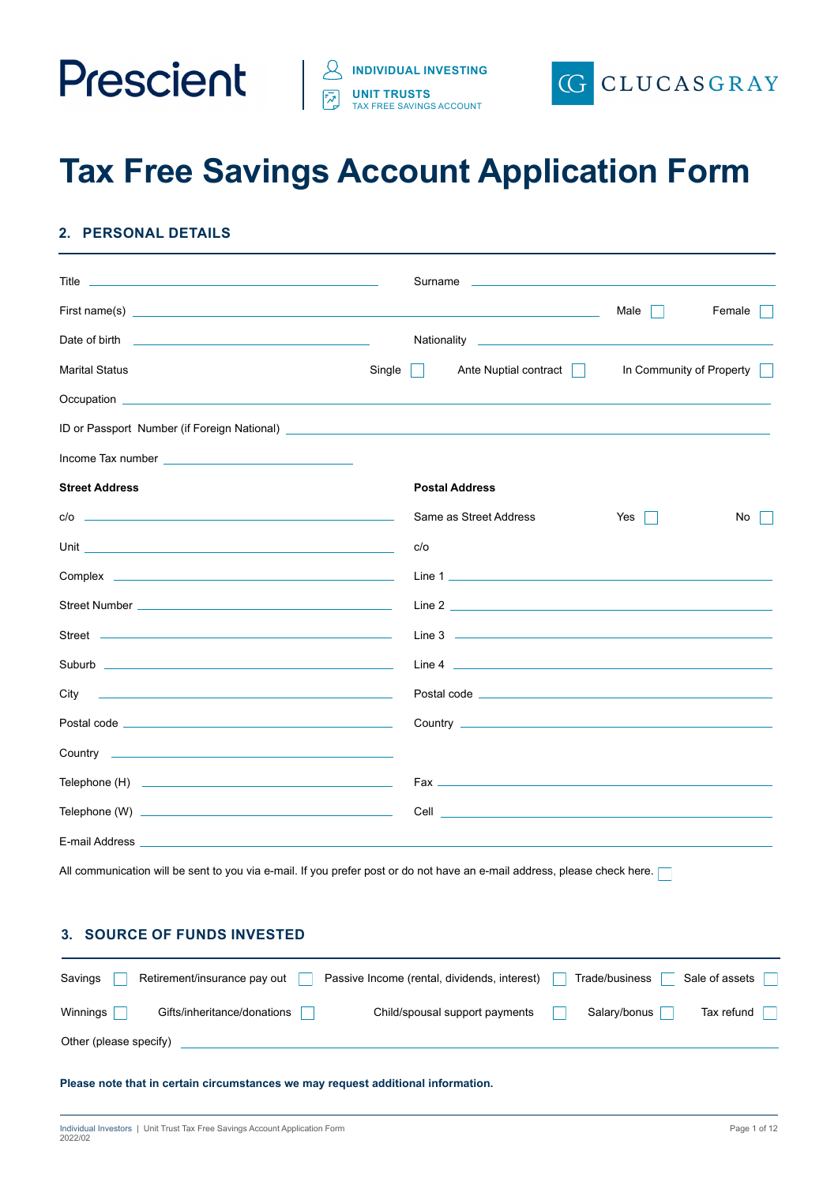



# **Tax Free Savings Account Application Form**

# **2. PERSONAL DETAILS**

| <b>Title <i>Community Community Community Community Community Community Community Community Community Community Community</i></b>                                                                                                    |        | Surname experience and the state of the state of the state of the state of the state of the state of the state of the state of the state of the state of the state of the state of the state of the state of the state of the |                          |        |
|--------------------------------------------------------------------------------------------------------------------------------------------------------------------------------------------------------------------------------------|--------|-------------------------------------------------------------------------------------------------------------------------------------------------------------------------------------------------------------------------------|--------------------------|--------|
|                                                                                                                                                                                                                                      |        |                                                                                                                                                                                                                               | Male                     | Female |
| Date of birth <u>entitled</u> and the state of birth and the state of birth and the state of the state of the state of                                                                                                               |        | Nationality _____________________                                                                                                                                                                                             |                          |        |
| <b>Marital Status</b>                                                                                                                                                                                                                | Single | Ante Nuptial contract                                                                                                                                                                                                         | In Community of Property |        |
|                                                                                                                                                                                                                                      |        |                                                                                                                                                                                                                               |                          |        |
| ID or Passport Number (if Foreign National) <u>[10] The Community of The Community of The Community of The Community of The Community of The Community of The Community of The Community of The Community of The Community of Th</u> |        |                                                                                                                                                                                                                               |                          |        |
|                                                                                                                                                                                                                                      |        |                                                                                                                                                                                                                               |                          |        |
| <b>Street Address</b>                                                                                                                                                                                                                |        | <b>Postal Address</b>                                                                                                                                                                                                         |                          |        |
| $c/o$ $\qquad$                                                                                                                                                                                                                       |        | Same as Street Address                                                                                                                                                                                                        | Yes                      | No     |
|                                                                                                                                                                                                                                      | c/o    |                                                                                                                                                                                                                               |                          |        |
|                                                                                                                                                                                                                                      |        | Line 1                                                                                                                                                                                                                        |                          |        |
|                                                                                                                                                                                                                                      |        |                                                                                                                                                                                                                               |                          |        |
|                                                                                                                                                                                                                                      |        |                                                                                                                                                                                                                               |                          |        |
|                                                                                                                                                                                                                                      |        |                                                                                                                                                                                                                               |                          |        |
| City                                                                                                                                                                                                                                 |        |                                                                                                                                                                                                                               |                          |        |
| Postal code <u>experience and the set of the set of the set of the set of the set of the set of the set of the set of the set of the set of the set of the set of the set of the set of the set of the set of the set of the set</u> |        |                                                                                                                                                                                                                               |                          |        |
|                                                                                                                                                                                                                                      |        |                                                                                                                                                                                                                               |                          |        |
|                                                                                                                                                                                                                                      |        |                                                                                                                                                                                                                               |                          |        |
|                                                                                                                                                                                                                                      |        |                                                                                                                                                                                                                               |                          |        |
|                                                                                                                                                                                                                                      |        |                                                                                                                                                                                                                               |                          |        |
| All communication will be sent to you via e-mail. If you prefer post or do not have an e-mail address, please check here. [                                                                                                          |        |                                                                                                                                                                                                                               |                          |        |
|                                                                                                                                                                                                                                      |        |                                                                                                                                                                                                                               |                          |        |

| Savings                | Retirement/insurance pay out | Passive Income (rental, dividends, interest) | Trade/business | Sale of assets |
|------------------------|------------------------------|----------------------------------------------|----------------|----------------|
| Winnings               | Gifts/inheritance/donations  | Child/spousal support payments               | Salary/bonus   | Tax refund     |
| Other (please specify) |                              |                                              |                |                |

**Please note that in certain circumstances we may request additional information.**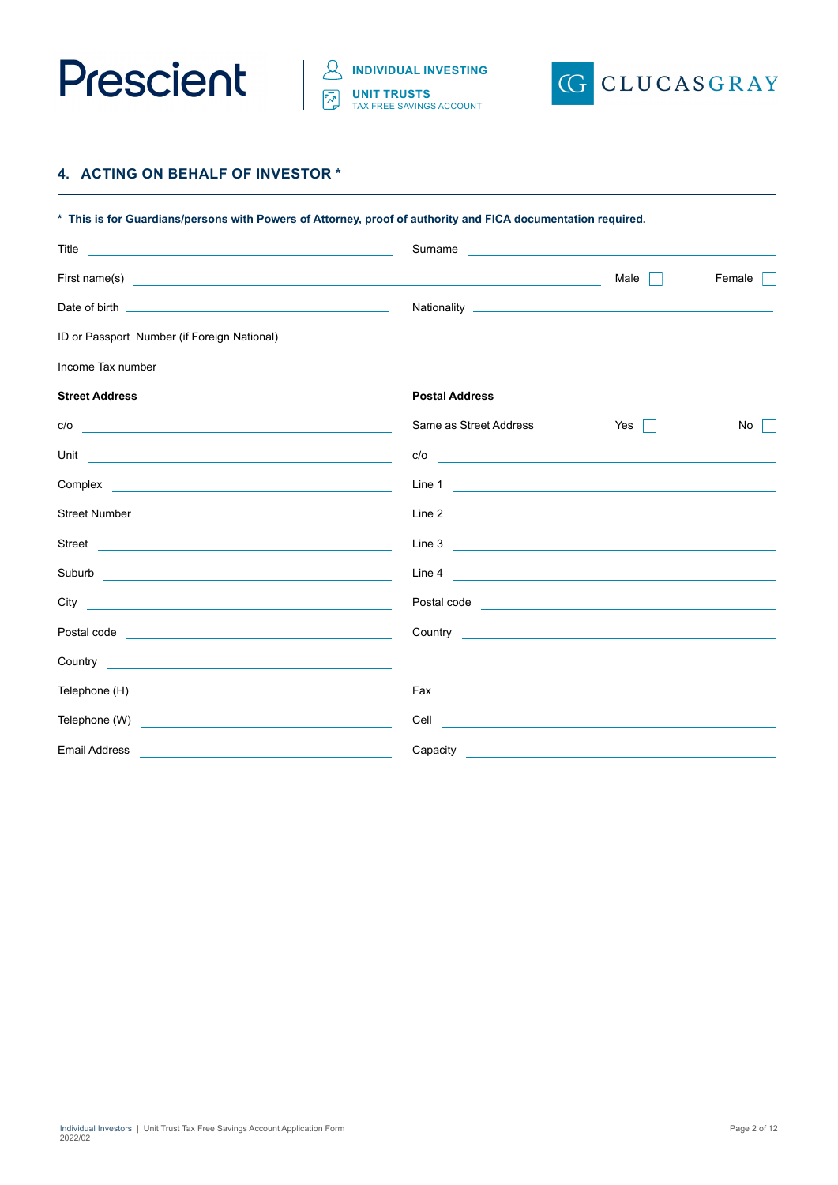



# **4. ACTING ON BEHALF OF INVESTOR \***

| * This is for Guardians/persons with Powers of Attorney, proof of authority and FICA documentation required.                                                                                                                           |                                                                                                                                                                                                                                              |                                                                        |        |
|----------------------------------------------------------------------------------------------------------------------------------------------------------------------------------------------------------------------------------------|----------------------------------------------------------------------------------------------------------------------------------------------------------------------------------------------------------------------------------------------|------------------------------------------------------------------------|--------|
| Title<br><u> 2008 - Andrea Andrew Maria (h. 1878).</u>                                                                                                                                                                                 | Surname                                                                                                                                                                                                                                      | <u> 1989 - Johann Barn, mars eta bainar eta politikaria (h. 1989).</u> |        |
| First name(s) <u>example and the set of the set of the set of the set of the set of the set of the set of the set of the set of the set of the set of the set of the set of the set of the set of the set of the set of the set </u>   |                                                                                                                                                                                                                                              | Male                                                                   | Female |
|                                                                                                                                                                                                                                        |                                                                                                                                                                                                                                              |                                                                        |        |
| ID or Passport Number (if Foreign National)<br><u> and the contract of the contract of the contract of the contract of the contract of the contract of the contract of the contract of the contract of the contract of the contrac</u> |                                                                                                                                                                                                                                              |                                                                        |        |
| Income Tax number<br><u> 1980 - Jan Samuel Barbara, martin di</u>                                                                                                                                                                      |                                                                                                                                                                                                                                              |                                                                        |        |
| <b>Street Address</b>                                                                                                                                                                                                                  | <b>Postal Address</b>                                                                                                                                                                                                                        |                                                                        |        |
| c/o<br><u> 1989 - Johann Stoff, deutscher Stoff, der Stoff, der Stoff, der Stoff, der Stoff, der Stoff, der Stoff, der S</u>                                                                                                           | Same as Street Address                                                                                                                                                                                                                       | Yes<br>l a                                                             | No     |
| Unit<br><u> 1989 - Johann Barn, mars eta bainar eta baina eta baina eta baina eta baina eta baina eta baina eta baina e</u>                                                                                                            |                                                                                                                                                                                                                                              |                                                                        |        |
|                                                                                                                                                                                                                                        |                                                                                                                                                                                                                                              |                                                                        |        |
|                                                                                                                                                                                                                                        |                                                                                                                                                                                                                                              |                                                                        |        |
| Street<br><u> 1989 - Johann Stoff, deutscher Stoffen und der Stoffen und der Stoffen und der Stoffen und der Stoffen und der</u>                                                                                                       |                                                                                                                                                                                                                                              |                                                                        |        |
|                                                                                                                                                                                                                                        |                                                                                                                                                                                                                                              |                                                                        |        |
| City<br><u> 1989 - Andrea State Barbara, amerikan personal (h. 1989).</u>                                                                                                                                                              |                                                                                                                                                                                                                                              |                                                                        |        |
|                                                                                                                                                                                                                                        |                                                                                                                                                                                                                                              |                                                                        |        |
|                                                                                                                                                                                                                                        |                                                                                                                                                                                                                                              |                                                                        |        |
|                                                                                                                                                                                                                                        |                                                                                                                                                                                                                                              |                                                                        |        |
|                                                                                                                                                                                                                                        | Cell<br><u> 1989 - Johann Stoff, deutscher Stoffen und der Stoffen und der Stoffen und der Stoffen und der Stoffen und der Stoffen und der Stoffen und der Stoffen und der Stoffen und der Stoffen und der Stoffen und der Stoffen und d</u> |                                                                        |        |
| <b>Email Address</b>                                                                                                                                                                                                                   |                                                                                                                                                                                                                                              |                                                                        |        |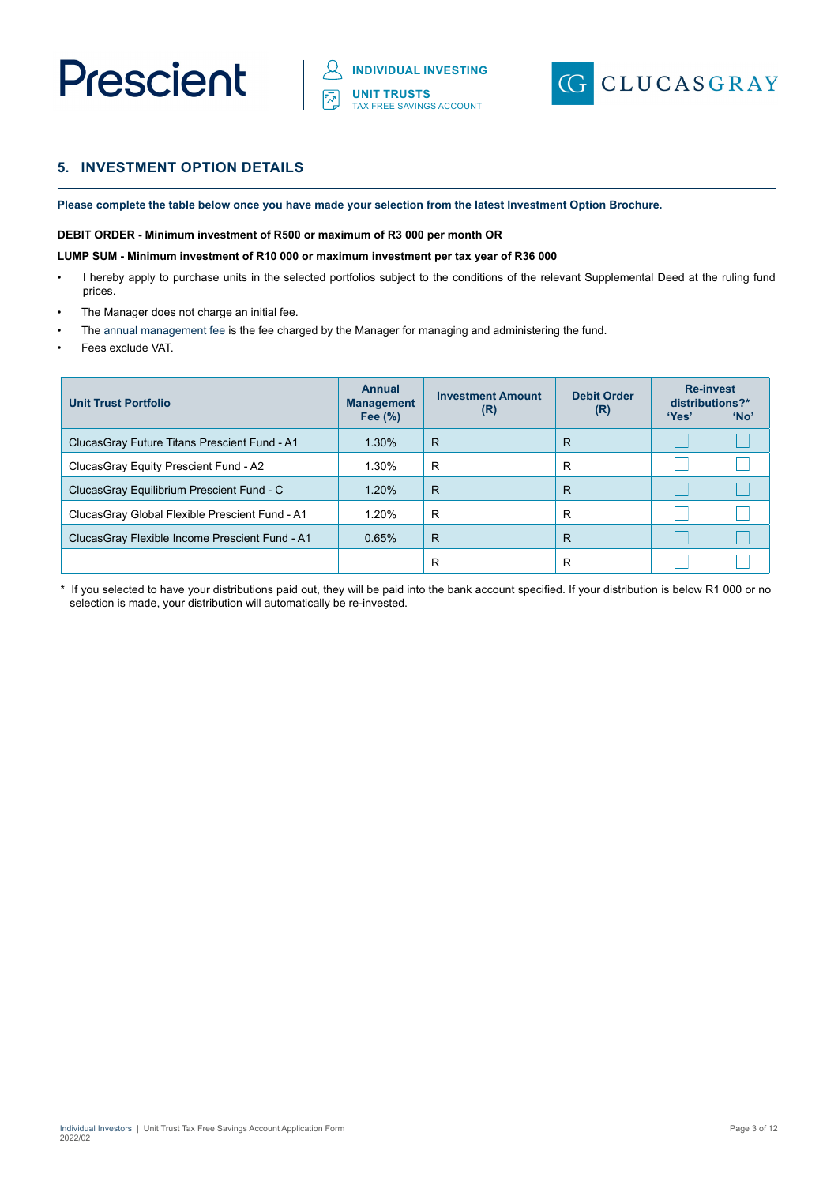# Prescient



# **5. INVESTMENT OPTION DETAILS**

**Please complete the table below once you have made your selection from the latest Investment Option Brochure.** 

#### **DEBIT ORDER - Minimum investment of R500 or maximum of R3 000 per month OR**

#### **LUMP SUM - Minimum investment of R10 000 or maximum investment per tax year of R36 000**

- I hereby apply to purchase units in the selected portfolios subject to the conditions of the relevant Supplemental Deed at the ruling fund prices.
- The Manager does not charge an initial fee.
- The annual management fee is the fee charged by the Manager for managing and administering the fund.
- Fees exclude VAT.

| <b>Unit Trust Portfolio</b>                     | <b>Annual</b><br><b>Management</b><br>Fee $(\%)$ | <b>Investment Amount</b><br>(R) | <b>Debit Order</b><br>(R) | <b>Re-invest</b><br>distributions?*<br>'Yes' | 'No' |
|-------------------------------------------------|--------------------------------------------------|---------------------------------|---------------------------|----------------------------------------------|------|
| Clucas Gray Future Titans Prescient Fund - A1   | 1.30%                                            | R                               | R                         |                                              |      |
| ClucasGray Equity Prescient Fund - A2           | 1.30%                                            | R                               | R                         |                                              |      |
| ClucasGray Equilibrium Prescient Fund - C       | 1.20%                                            | $\mathsf{R}$                    | R                         |                                              |      |
| ClucasGray Global Flexible Prescient Fund - A1  | 1.20%                                            | R                               | R                         |                                              |      |
| Clucas Gray Flexible Income Prescient Fund - A1 | 0.65%                                            | R                               | R                         |                                              |      |
|                                                 |                                                  | R                               | R                         |                                              |      |

\* If you selected to have your distributions paid out, they will be paid into the bank account specified. If your distribution is below R1 000 or no selection is made, your distribution will automatically be re-invested.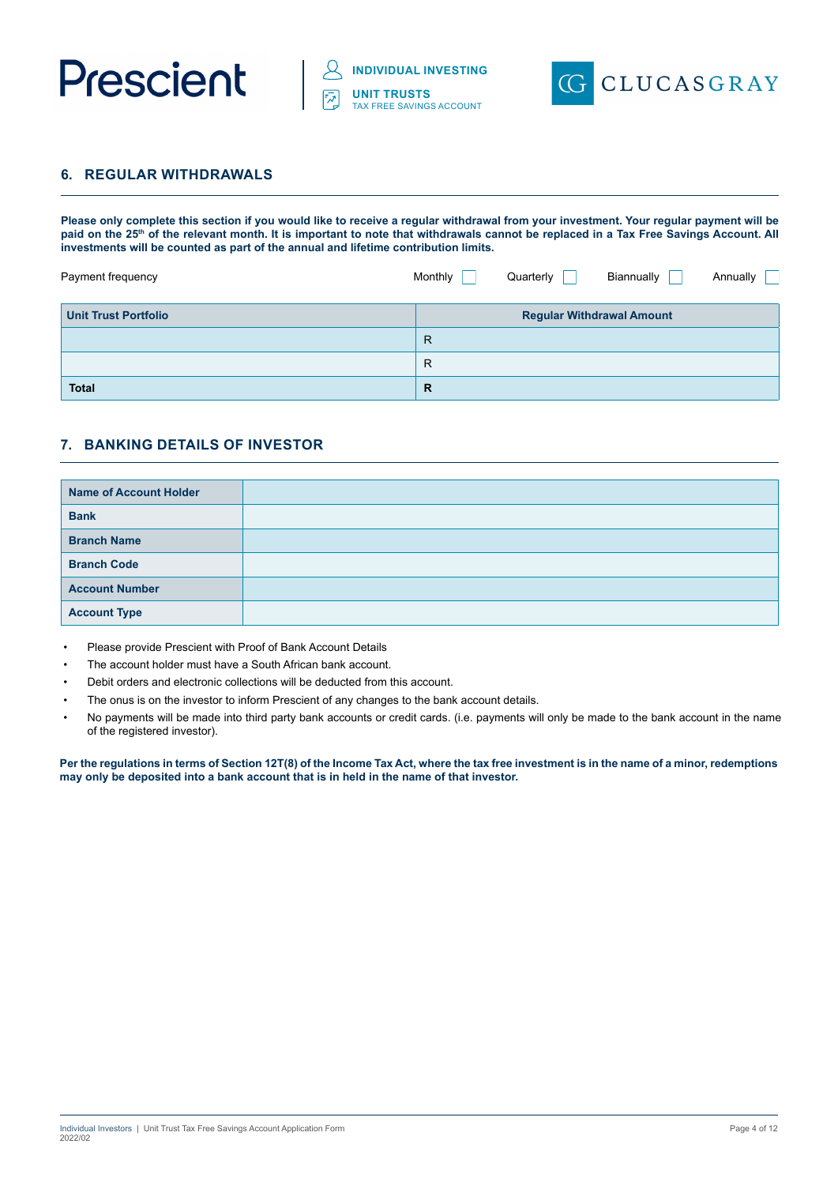



# **6. REGULAR WITHDRAWALS**

**Please only complete this section if you would like to receive a regular withdrawal from your investment. Your regular payment will be**  paid on the 25<sup>th</sup> of the relevant month. It is important to note that withdrawals cannot be replaced in a Tax Free Savings Account. All **investments will be counted as part of the annual and lifetime contribution limits.** 

| Payment frequency           | Monthly      | Quarterly | Biannually                       | Annually |
|-----------------------------|--------------|-----------|----------------------------------|----------|
| <b>Unit Trust Portfolio</b> |              |           | <b>Regular Withdrawal Amount</b> |          |
|                             | $\mathsf{R}$ |           |                                  |          |
|                             | $\mathsf{R}$ |           |                                  |          |
| <b>Total</b>                | $\mathbb{R}$ |           |                                  |          |

# **7. BANKING DETAILS OF INVESTOR**

| <b>Name of Account Holder</b> |  |
|-------------------------------|--|
| <b>Bank</b>                   |  |
| <b>Branch Name</b>            |  |
| <b>Branch Code</b>            |  |
| <b>Account Number</b>         |  |
| <b>Account Type</b>           |  |

- Please provide Prescient with Proof of Bank Account Details
- The account holder must have a South African bank account.
- Debit orders and electronic collections will be deducted from this account.
- The onus is on the investor to inform Prescient of any changes to the bank account details.
- No payments will be made into third party bank accounts or credit cards. (i.e. payments will only be made to the bank account in the name of the registered investor).

**Per the regulations in terms of Section 12T(8) of the Income Tax Act, where the tax free investment is in the name of a minor, redemptions may only be deposited into a bank account that is in held in the name of that investor.**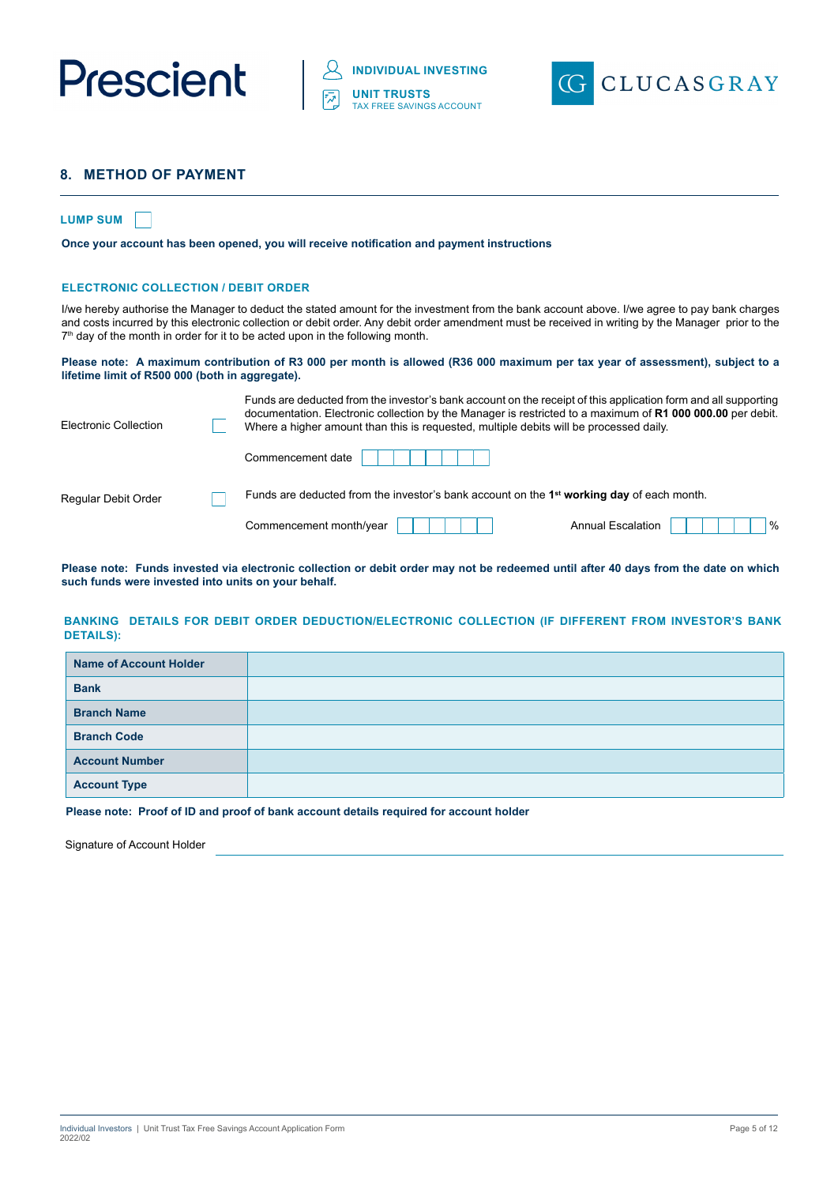



# **8. METHOD OF PAYMENT**

#### **LUMP SUM**

**Once your account has been opened, you will receive notification and payment instructions**

#### **ELECTRONIC COLLECTION / DEBIT ORDER**

I/we hereby authorise the Manager to deduct the stated amount for the investment from the bank account above. I/we agree to pay bank charges and costs incurred by this electronic collection or debit order. Any debit order amendment must be received in writing by the Manager prior to the  $7<sup>th</sup>$  day of the month in order for it to be acted upon in the following month.

#### **Please note: A maximum contribution of R3 000 per month is allowed (R36 000 maximum per tax year of assessment), subject to a lifetime limit of R500 000 (both in aggregate).**

| documentation. Electronic collection by the Manager is restricted to a maximum of R1 000 000.00 per debit.<br>Where a higher amount than this is requested, multiple debits will be processed daily. |                                                                                                                |
|------------------------------------------------------------------------------------------------------------------------------------------------------------------------------------------------------|----------------------------------------------------------------------------------------------------------------|
| Commencement date                                                                                                                                                                                    |                                                                                                                |
| Funds are deducted from the investor's bank account on the 1 <sup>st</sup> working day of each month.                                                                                                |                                                                                                                |
| Commencement month/year                                                                                                                                                                              | <b>Annual Escalation</b><br>$\frac{9}{6}$                                                                      |
|                                                                                                                                                                                                      | Funds are deducted from the investor's bank account on the receipt of this application form and all supporting |

**Please note: Funds invested via electronic collection or debit order may not be redeemed until after 40 days from the date on which such funds were invested into units on your behalf.**

#### **BANKING DETAILS FOR DEBIT ORDER DEDUCTION/ELECTRONIC COLLECTION (IF DIFFERENT FROM INVESTOR'S BANK DETAILS):**

| <b>Name of Account Holder</b> |  |
|-------------------------------|--|
| <b>Bank</b>                   |  |
| <b>Branch Name</b>            |  |
| <b>Branch Code</b>            |  |
| <b>Account Number</b>         |  |
| <b>Account Type</b>           |  |

**Please note: Proof of ID and proof of bank account details required for account holder**

Signature of Account Holder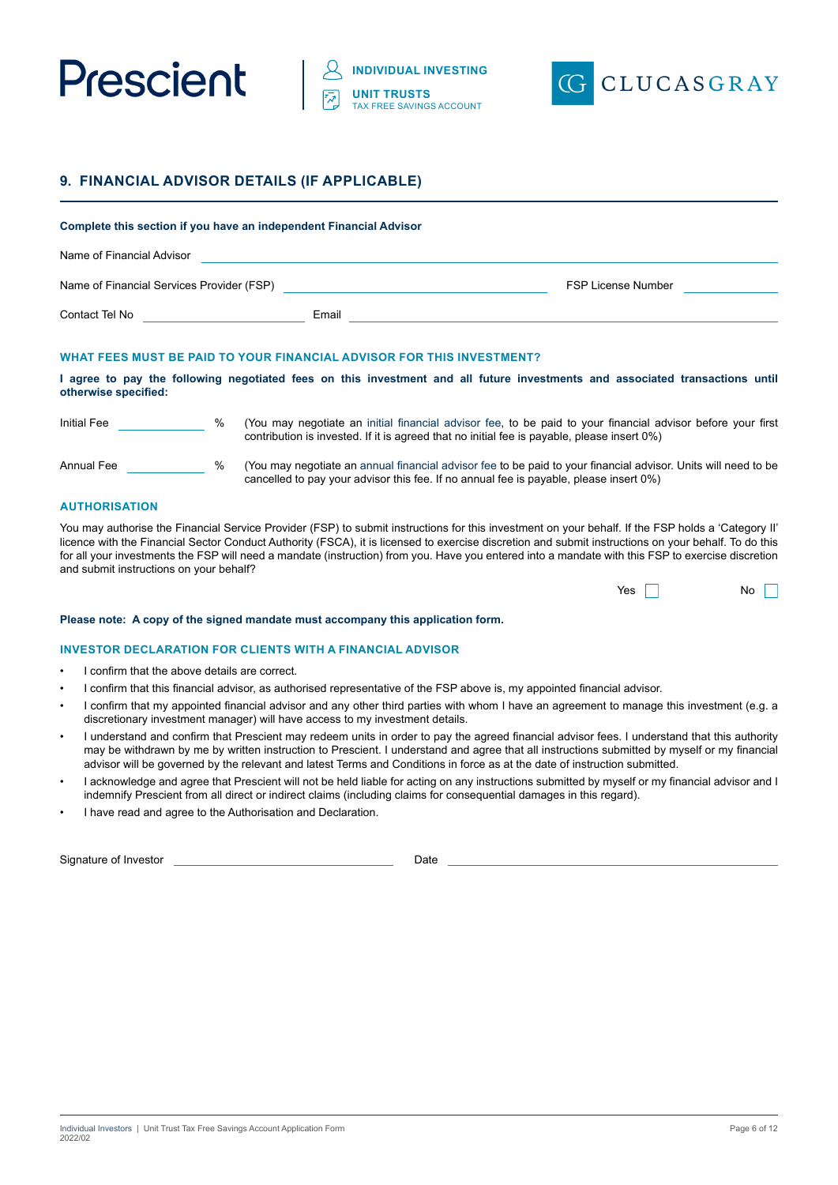



## **9. FINANCIAL ADVISOR DETAILS (IF APPLICABLE)**

## **Complete this section if you have an independent Financial Advisor**

| Name of Financial Advisor                 |       |                    |
|-------------------------------------------|-------|--------------------|
| Name of Financial Services Provider (FSP) |       | FSP License Number |
| Contact Tel No                            | Email |                    |

#### **WHAT FEES MUST BE PAID TO YOUR FINANCIAL ADVISOR FOR THIS INVESTMENT?**

#### **I agree to pay the following negotiated fees on this investment and all future investments and associated transactions until otherwise specified:**

| <b>Initial Fee</b> | $\%$ | (You may negotiate an initial financial advisor fee, to be paid to your financial advisor before your first<br>contribution is invested. If it is agreed that no initial fee is payable, please insert 0%)   |
|--------------------|------|--------------------------------------------------------------------------------------------------------------------------------------------------------------------------------------------------------------|
| Annual Fee         | $\%$ | (You may negotiate an annual financial advisor fee to be paid to your financial advisor. Units will need to be<br>cancelled to pay your advisor this fee. If no annual fee is payable, please insert $0\%$ ) |

#### **AUTHORISATION**

You may authorise the Financial Service Provider (FSP) to submit instructions for this investment on your behalf. If the FSP holds a 'Category II' licence with the Financial Sector Conduct Authority (FSCA), it is licensed to exercise discretion and submit instructions on your behalf. To do this for all your investments the FSP will need a mandate (instruction) from you. Have you entered into a mandate with this FSP to exercise discretion and submit instructions on your behalf?

| Yes |  | No |  |
|-----|--|----|--|
|-----|--|----|--|

#### **Please note: A copy of the signed mandate must accompany this application form.**

#### **INVESTOR DECLARATION FOR CLIENTS WITH A FINANCIAL ADVISOR**

- I confirm that the above details are correct.
- I confirm that this financial advisor, as authorised representative of the FSP above is, my appointed financial advisor.
- I confirm that my appointed financial advisor and any other third parties with whom I have an agreement to manage this investment (e.g. a discretionary investment manager) will have access to my investment details.
- I understand and confirm that Prescient may redeem units in order to pay the agreed financial advisor fees. I understand that this authority may be withdrawn by me by written instruction to Prescient. I understand and agree that all instructions submitted by myself or my financial advisor will be governed by the relevant and latest Terms and Conditions in force as at the date of instruction submitted.
- I acknowledge and agree that Prescient will not be held liable for acting on any instructions submitted by myself or my financial advisor and I indemnify Prescient from all direct or indirect claims (including claims for consequential damages in this regard).
- I have read and agree to the Authorisation and Declaration.

Signature of Investor **Date**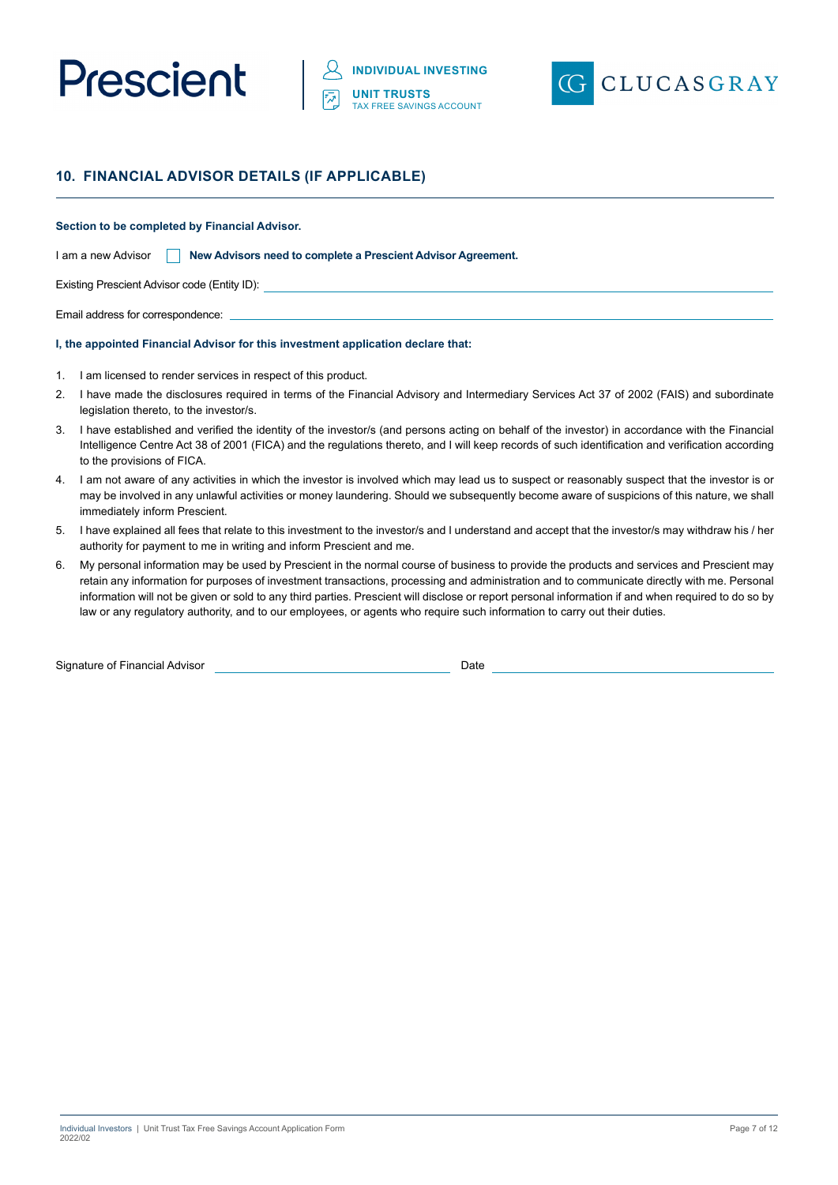



# **10. FINANCIAL ADVISOR DETAILS (IF APPLICABLE)**

#### **Section to be completed by Financial Advisor.**

| I am a new Advisor |  | New Advisors need to complete a Prescient Advisor Agreement. |  |
|--------------------|--|--------------------------------------------------------------|--|
|--------------------|--|--------------------------------------------------------------|--|

Existing Prescient Advisor code (Entity ID):

Email address for correspondence:

#### **I, the appointed Financial Advisor for this investment application declare that:**

- 1. I am licensed to render services in respect of this product.
- 2. I have made the disclosures required in terms of the Financial Advisory and Intermediary Services Act 37 of 2002 (FAIS) and subordinate legislation thereto, to the investor/s.
- 3. I have established and verified the identity of the investor/s (and persons acting on behalf of the investor) in accordance with the Financial Intelligence Centre Act 38 of 2001 (FICA) and the regulations thereto, and I will keep records of such identification and verification according to the provisions of FICA.
- 4. I am not aware of any activities in which the investor is involved which may lead us to suspect or reasonably suspect that the investor is or may be involved in any unlawful activities or money laundering. Should we subsequently become aware of suspicions of this nature, we shall immediately inform Prescient.
- 5. I have explained all fees that relate to this investment to the investor/s and I understand and accept that the investor/s may withdraw his / her authority for payment to me in writing and inform Prescient and me.
- 6. My personal information may be used by Prescient in the normal course of business to provide the products and services and Prescient may retain any information for purposes of investment transactions, processing and administration and to communicate directly with me. Personal information will not be given or sold to any third parties. Prescient will disclose or report personal information if and when required to do so by law or any regulatory authority, and to our employees, or agents who require such information to carry out their duties.

Signature of Financial Advisor Date Date of Signature of Financial Advisor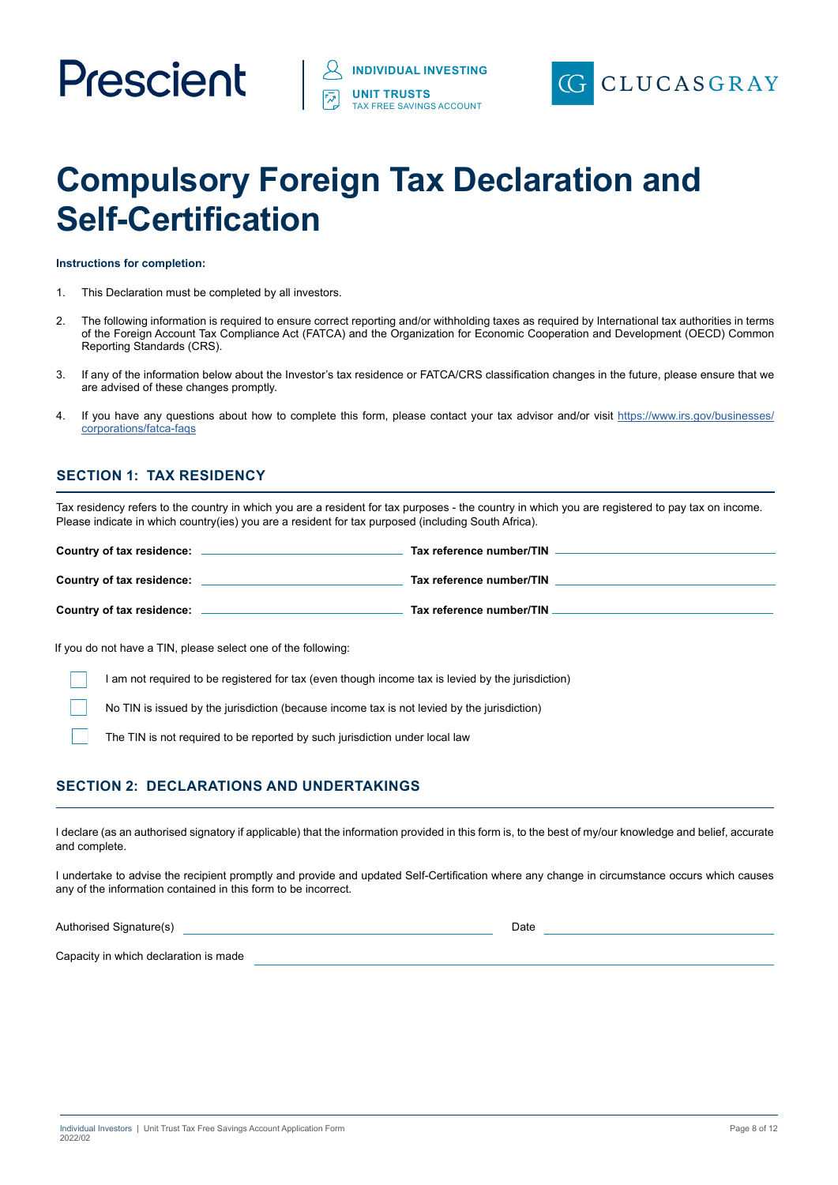# Prescient



# **Compulsory Foreign Tax Declaration and Self-Certification**

**Instructions for completion:**

- 1. This Declaration must be completed by all investors.
- 2. The following information is required to ensure correct reporting and/or withholding taxes as required by International tax authorities in terms of the Foreign Account Tax Compliance Act (FATCA) and the Organization for Economic Cooperation and Development (OECD) Common Reporting Standards (CRS).
- 3. If any of the information below about the Investor's tax residence or FATCA/CRS classification changes in the future, please ensure that we are advised of these changes promptly.
- 4. If you have any questions about how to complete this form, please contact your tax advisor and/or visit https://www.irs.gov/businesses/ corporations/fatca-faqs

# **SECTION 1: TAX RESIDENCY**

Tax residency refers to the country in which you are a resident for tax purposes - the country in which you are registered to pay tax on income. Please indicate in which country(ies) you are a resident for tax purposed (including South Africa).

| Country of tax residence: | Tax reference number/TIN |
|---------------------------|--------------------------|
| Country of tax residence: | Tax reference number/TIN |
| Country of tax residence: | Tax reference number/TIN |

If you do not have a TIN, please select one of the following:

I am not required to be registered for tax (even though income tax is levied by the jurisdiction)

No TIN is issued by the jurisdiction (because income tax is not levied by the jurisdiction)

The TIN is not required to be reported by such jurisdiction under local law

# **SECTION 2: DECLARATIONS AND UNDERTAKINGS**

I declare (as an authorised signatory if applicable) that the information provided in this form is, to the best of my/our knowledge and belief, accurate and complete.

I undertake to advise the recipient promptly and provide and updated Self-Certification where any change in circumstance occurs which causes any of the information contained in this form to be incorrect.

Authorised Signature(s) and the contract of the contract of the contract of the contract of the contract of the contract of the contract of the contract of the contract of the contract of the contract of the contract of th

Capacity in which declaration is made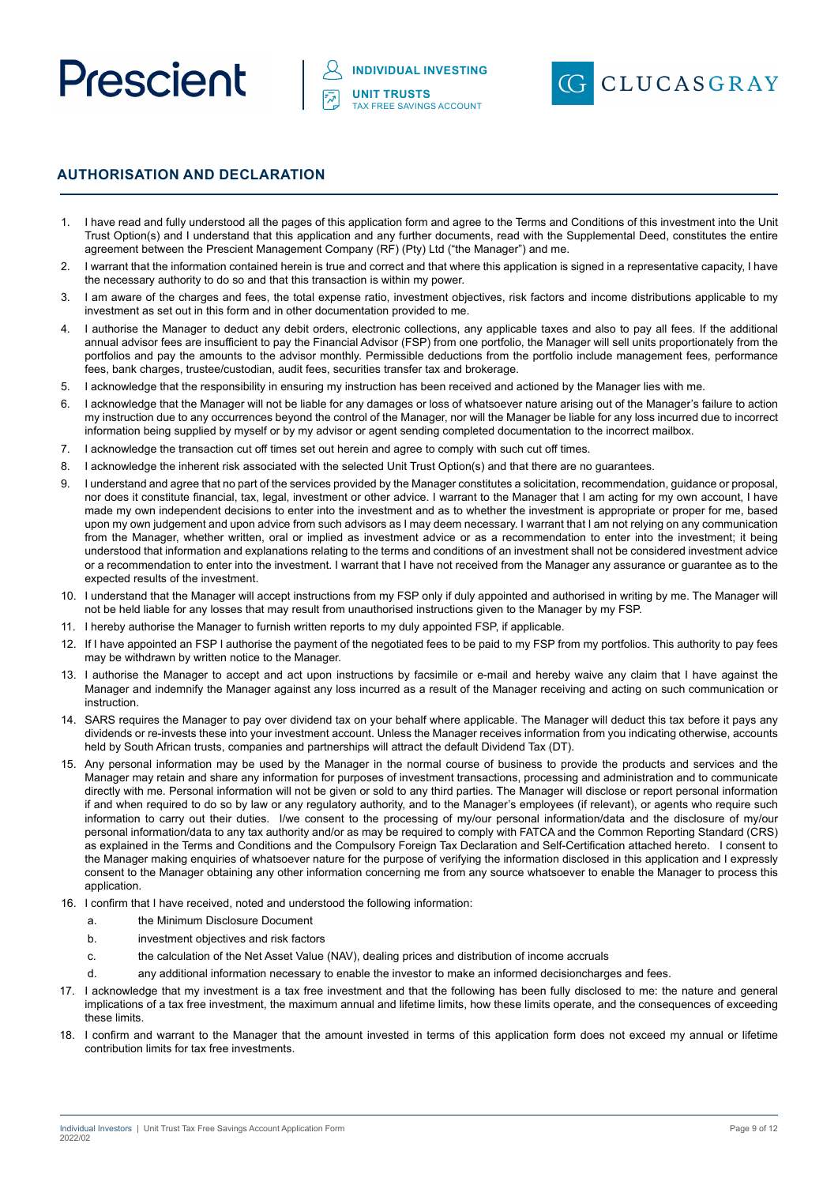



# **AUTHORISATION AND DECLARATION**

- 1. I have read and fully understood all the pages of this application form and agree to the Terms and Conditions of this investment into the Unit Trust Option(s) and I understand that this application and any further documents, read with the Supplemental Deed, constitutes the entire agreement between the Prescient Management Company (RF) (Pty) Ltd ("the Manager") and me.
- 2. I warrant that the information contained herein is true and correct and that where this application is signed in a representative capacity, I have the necessary authority to do so and that this transaction is within my power.
- 3. I am aware of the charges and fees, the total expense ratio, investment objectives, risk factors and income distributions applicable to my investment as set out in this form and in other documentation provided to me.
- 4. I authorise the Manager to deduct any debit orders, electronic collections, any applicable taxes and also to pay all fees. If the additional annual advisor fees are insufficient to pay the Financial Advisor (FSP) from one portfolio, the Manager will sell units proportionately from the portfolios and pay the amounts to the advisor monthly. Permissible deductions from the portfolio include management fees, performance fees, bank charges, trustee/custodian, audit fees, securities transfer tax and brokerage.
- 5. I acknowledge that the responsibility in ensuring my instruction has been received and actioned by the Manager lies with me.
- 6. I acknowledge that the Manager will not be liable for any damages or loss of whatsoever nature arising out of the Manager's failure to action my instruction due to any occurrences beyond the control of the Manager, nor will the Manager be liable for any loss incurred due to incorrect information being supplied by myself or by my advisor or agent sending completed documentation to the incorrect mailbox.
- 7. I acknowledge the transaction cut off times set out herein and agree to comply with such cut off times.
- 8. I acknowledge the inherent risk associated with the selected Unit Trust Option(s) and that there are no guarantees.
- 9. I understand and agree that no part of the services provided by the Manager constitutes a solicitation, recommendation, guidance or proposal, nor does it constitute financial, tax, legal, investment or other advice. I warrant to the Manager that I am acting for my own account, I have made my own independent decisions to enter into the investment and as to whether the investment is appropriate or proper for me, based upon my own judgement and upon advice from such advisors as I may deem necessary. I warrant that I am not relying on any communication from the Manager, whether written, oral or implied as investment advice or as a recommendation to enter into the investment; it being understood that information and explanations relating to the terms and conditions of an investment shall not be considered investment advice or a recommendation to enter into the investment. I warrant that I have not received from the Manager any assurance or guarantee as to the expected results of the investment.
- 10. I understand that the Manager will accept instructions from my FSP only if duly appointed and authorised in writing by me. The Manager will not be held liable for any losses that may result from unauthorised instructions given to the Manager by my FSP.
- 11. I hereby authorise the Manager to furnish written reports to my duly appointed FSP, if applicable.
- 12. If I have appointed an FSP I authorise the payment of the negotiated fees to be paid to my FSP from my portfolios. This authority to pay fees may be withdrawn by written notice to the Manager.
- 13. I authorise the Manager to accept and act upon instructions by facsimile or e-mail and hereby waive any claim that I have against the Manager and indemnify the Manager against any loss incurred as a result of the Manager receiving and acting on such communication or instruction.
- 14. SARS requires the Manager to pay over dividend tax on your behalf where applicable. The Manager will deduct this tax before it pays any dividends or re-invests these into your investment account. Unless the Manager receives information from you indicating otherwise, accounts held by South African trusts, companies and partnerships will attract the default Dividend Tax (DT).
- 15. Any personal information may be used by the Manager in the normal course of business to provide the products and services and the Manager may retain and share any information for purposes of investment transactions, processing and administration and to communicate directly with me. Personal information will not be given or sold to any third parties. The Manager will disclose or report personal information if and when required to do so by law or any regulatory authority, and to the Manager's employees (if relevant), or agents who require such information to carry out their duties. I/we consent to the processing of my/our personal information/data and the disclosure of my/our personal information/data to any tax authority and/or as may be required to comply with FATCA and the Common Reporting Standard (CRS) as explained in the Terms and Conditions and the Compulsory Foreign Tax Declaration and Self-Certification attached hereto. I consent to the Manager making enquiries of whatsoever nature for the purpose of verifying the information disclosed in this application and I expressly consent to the Manager obtaining any other information concerning me from any source whatsoever to enable the Manager to process this application.
- 16. I confirm that I have received, noted and understood the following information:
	- a. the Minimum Disclosure Document
	- b. investment objectives and risk factors
	- c. the calculation of the Net Asset Value (NAV), dealing prices and distribution of income accruals
	- d. any additional information necessary to enable the investor to make an informed decisioncharges and fees.
- 17. I acknowledge that my investment is a tax free investment and that the following has been fully disclosed to me: the nature and general implications of a tax free investment, the maximum annual and lifetime limits, how these limits operate, and the consequences of exceeding these limits.
- 18. I confirm and warrant to the Manager that the amount invested in terms of this application form does not exceed my annual or lifetime contribution limits for tax free investments.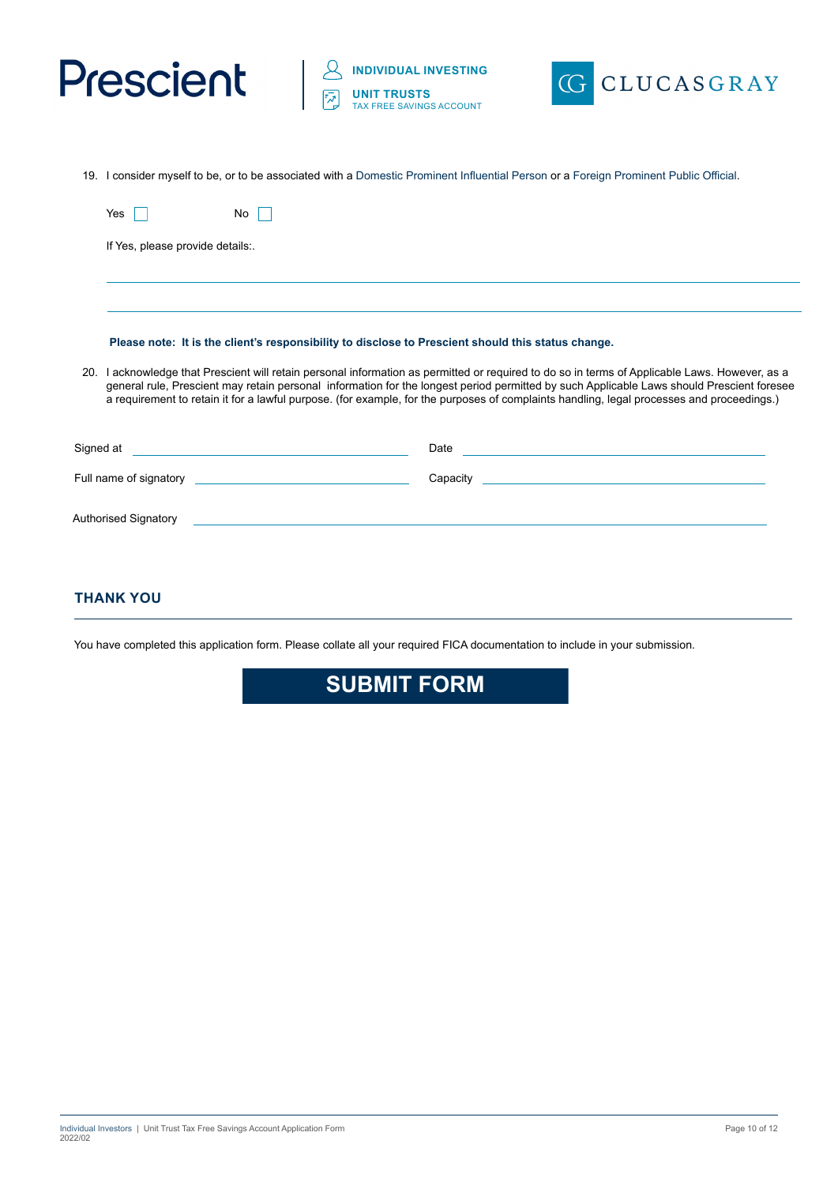



19. I consider myself to be, or to be associated with a Domestic Prominent Influential Person or a Foreign Prominent Public Official.

|            | Yes                                                                                                                                                                                                                                                                                                                                                                                                                                  | No.                                                                                                                                                                                                                                                                                                                                                                                                                                                                    |
|------------|--------------------------------------------------------------------------------------------------------------------------------------------------------------------------------------------------------------------------------------------------------------------------------------------------------------------------------------------------------------------------------------------------------------------------------------|------------------------------------------------------------------------------------------------------------------------------------------------------------------------------------------------------------------------------------------------------------------------------------------------------------------------------------------------------------------------------------------------------------------------------------------------------------------------|
|            | If Yes, please provide details                                                                                                                                                                                                                                                                                                                                                                                                       |                                                                                                                                                                                                                                                                                                                                                                                                                                                                        |
|            |                                                                                                                                                                                                                                                                                                                                                                                                                                      |                                                                                                                                                                                                                                                                                                                                                                                                                                                                        |
|            |                                                                                                                                                                                                                                                                                                                                                                                                                                      |                                                                                                                                                                                                                                                                                                                                                                                                                                                                        |
|            |                                                                                                                                                                                                                                                                                                                                                                                                                                      | Please note: It is the client's responsibility to disclose to Prescient should this status change.                                                                                                                                                                                                                                                                                                                                                                     |
| <b>20.</b> | I acknowledge that Prescient will retain personal information as permitted or required to do so in terms of Applicable Laws. However, as a<br>general rule, Prescient may retain personal information for the longest period permitted by such Applicable Laws should Prescient foresee<br>a requirement to retain it for a lawful purpose. (for example, for the purposes of complaints handling, legal processes and proceedings.) |                                                                                                                                                                                                                                                                                                                                                                                                                                                                        |
|            |                                                                                                                                                                                                                                                                                                                                                                                                                                      | Signed at <u>example and the set of the set of the set of the set of the set of the set of the set of the set of the set of the set of the set of the set of the set of the set of the set of the set of the set of the set of t</u><br>Date and the contract of the contract of the contract of the contract of the contract of the contract of the contract of the contract of the contract of the contract of the contract of the contract of the contract of the c |
|            |                                                                                                                                                                                                                                                                                                                                                                                                                                      | Full name of signatory and the state of signatory<br><u> 1989 - Johann Stein, mars et al. 1989 - Anna ann an t-Anna ann an t-Anna ann an t-Anna ann an t-Anna ann an t-</u><br>Capacity                                                                                                                                                                                                                                                                                |
|            | Authorised Signatory                                                                                                                                                                                                                                                                                                                                                                                                                 |                                                                                                                                                                                                                                                                                                                                                                                                                                                                        |
|            |                                                                                                                                                                                                                                                                                                                                                                                                                                      |                                                                                                                                                                                                                                                                                                                                                                                                                                                                        |

# **THANK YOU**

You have completed this application form. Please collate all your required FICA documentation to include in your submission.

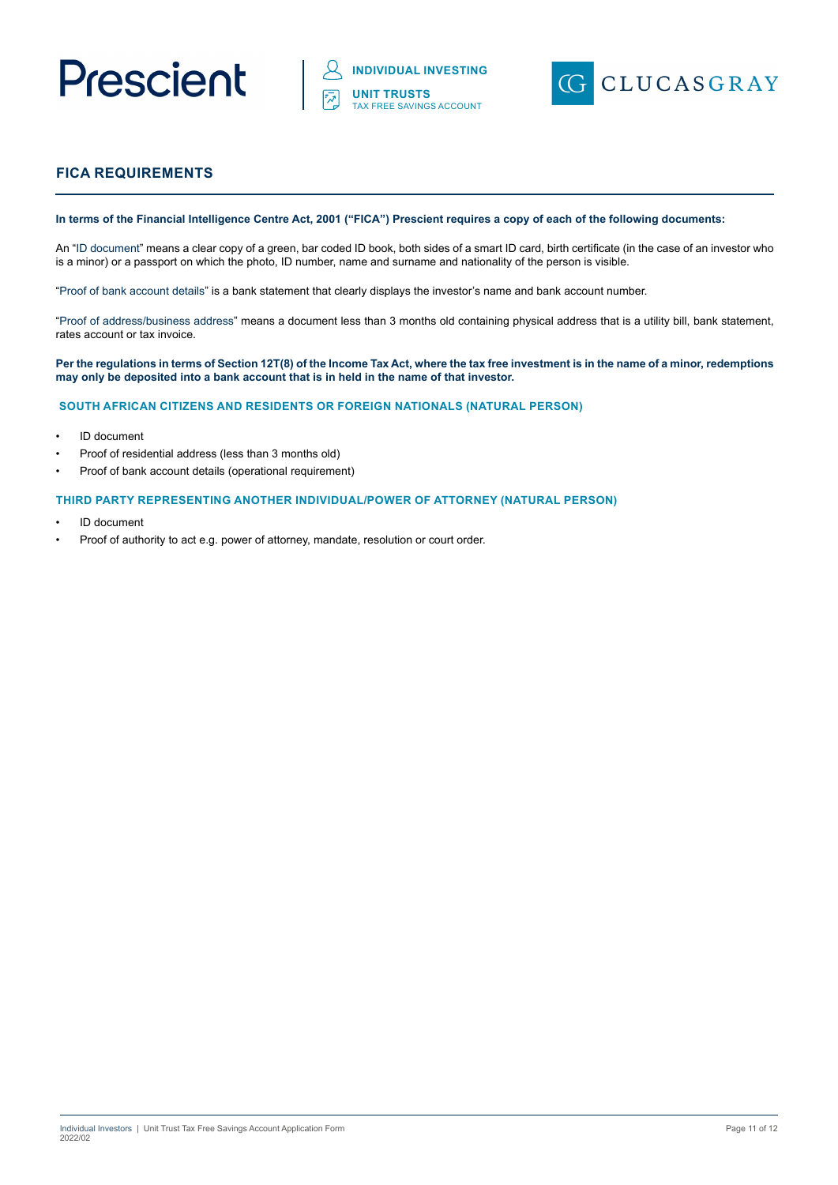



# **FICA REQUIREMENTS**

#### **In terms of the Financial Intelligence Centre Act, 2001 ("FICA") Prescient requires a copy of each of the following documents:**

An "ID document" means a clear copy of a green, bar coded ID book, both sides of a smart ID card, birth certificate (in the case of an investor who is a minor) or a passport on which the photo, ID number, name and surname and nationality of the person is visible.

"Proof of bank account details" is a bank statement that clearly displays the investor's name and bank account number.

"Proof of address/business address" means a document less than 3 months old containing physical address that is a utility bill, bank statement, rates account or tax invoice.

#### **Per the regulations in terms of Section 12T(8) of the Income Tax Act, where the tax free investment is in the name of a minor, redemptions may only be deposited into a bank account that is in held in the name of that investor.**

#### **SOUTH AFRICAN CITIZENS AND RESIDENTS OR FOREIGN NATIONALS (NATURAL PERSON)**

- ID document
- Proof of residential address (less than 3 months old)
- Proof of bank account details (operational requirement)

#### **THIRD PARTY REPRESENTING ANOTHER INDIVIDUAL/POWER OF ATTORNEY (NATURAL PERSON)**

- ID document
- Proof of authority to act e.g. power of attorney, mandate, resolution or court order.